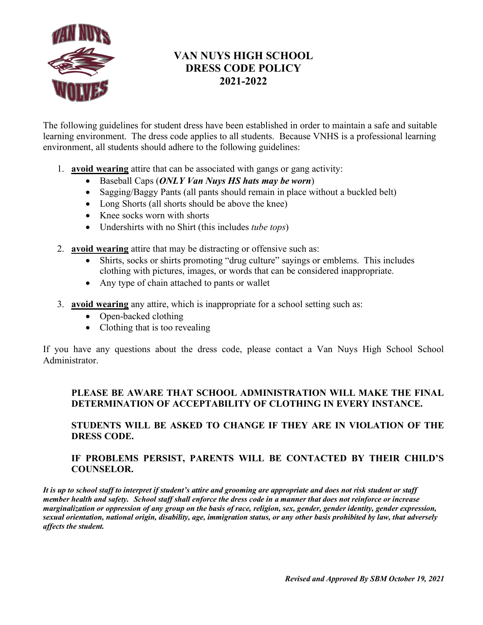

# **VAN NUYS HIGH SCHOOL DRESS CODE POLICY 2021-2022**

The following guidelines for student dress have been established in order to maintain a safe and suitable learning environment. The dress code applies to all students. Because VNHS is a professional learning environment, all students should adhere to the following guidelines:

- 1. **avoid wearing** attire that can be associated with gangs or gang activity:
	- Baseball Caps (*ONLY Van Nuys HS hats may be worn*)
	- Sagging/Baggy Pants (all pants should remain in place without a buckled belt)
	- Long Shorts (all shorts should be above the knee)
	- Knee socks worn with shorts
	- Undershirts with no Shirt (this includes *tube tops*)
- 2. **avoid wearing** attire that may be distracting or offensive such as:
	- Shirts, socks or shirts promoting "drug culture" sayings or emblems. This includes clothing with pictures, images, or words that can be considered inappropriate.
	- Any type of chain attached to pants or wallet
- 3. **avoid wearing** any attire, which is inappropriate for a school setting such as:
	- Open-backed clothing
	- Clothing that is too revealing

If you have any questions about the dress code, please contact a Van Nuys High School School Administrator.

## **PLEASE BE AWARE THAT SCHOOL ADMINISTRATION WILL MAKE THE FINAL DETERMINATION OF ACCEPTABILITY OF CLOTHING IN EVERY INSTANCE.**

### **STUDENTS WILL BE ASKED TO CHANGE IF THEY ARE IN VIOLATION OF THE DRESS CODE.**

### **IF PROBLEMS PERSIST, PARENTS WILL BE CONTACTED BY THEIR CHILD'S COUNSELOR.**

*It is up to school staff to interpret if student's attire and grooming are appropriate and does not risk student or staff member health and safety. School staff shall enforce the dress code in a manner that does not reinforce or increase marginalization or oppression of any group on the basis of race, religion, sex, gender, gender identity, gender expression, sexual orientation, national origin, disability, age, immigration status, or any other basis prohibited by law, that adversely affects the student.*